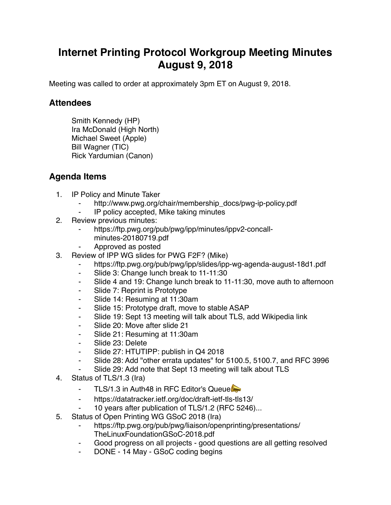## **Internet Printing Protocol Workgroup Meeting Minutes August 9, 2018**

Meeting was called to order at approximately 3pm ET on August 9, 2018.

## **Attendees**

Smith Kennedy (HP) Ira McDonald (High North) Michael Sweet (Apple) Bill Wagner (TIC) Rick Yardumian (Canon)

## **Agenda Items**

- 1. IP Policy and Minute Taker
	- http://www.pwg.org/chair/membership\_docs/pwg-ip-policy.pdf
	- ⁃ IP policy accepted, Mike taking minutes
- 2. Review previous minutes:
	- https://ftp.pwg.org/pub/pwg/ipp/minutes/ippv2-concallminutes-20180719.pdf
	- ⁃ Approved as posted
- 3. Review of IPP WG slides for PWG F2F? (Mike)
	- https://ftp.pwg.org/pub/pwg/ipp/slides/ipp-wg-agenda-august-18d1.pdf
	- ⁃ Slide 3: Change lunch break to 11-11:30
	- ⁃ Slide 4 and 19: Change lunch break to 11-11:30, move auth to afternoon
	- ⁃ Slide 7: Reprint is Prototype
	- ⁃ Slide 14: Resuming at 11:30am
	- ⁃ Slide 15: Prototype draft, move to stable ASAP
	- ⁃ Slide 19: Sept 13 meeting will talk about TLS, add Wikipedia link
	- ⁃ Slide 20: Move after slide 21
	- ⁃ Slide 21: Resuming at 11:30am
	- Slide 23: Delete
	- ⁃ Slide 27: HTUTIPP: publish in Q4 2018
	- ⁃ Slide 28: Add "other errata updates" for 5100.5, 5100.7, and RFC 3996
	- Slide 29: Add note that Sept 13 meeting will talk about TLS
- 4. Status of TLS/1.3 (Ira)
	- **EXECUTE:** TLS/1.3 in Auth48 in RFC Editor's Queue
	- ⁃ https://datatracker.ietf.org/doc/draft-ietf-tls-tls13/
	- ⁃ 10 years after publication of TLS/1.2 (RFC 5246)...
- 5. Status of Open Printing WG GSoC 2018 (Ira)
	- https://ftp.pwg.org/pub/pwg/liaison/openprinting/presentations/ TheLinuxFoundationGSoC-2018.pdf
	- Good progress on all projects good questions are all getting resolved
	- DONE 14 May GSoC coding begins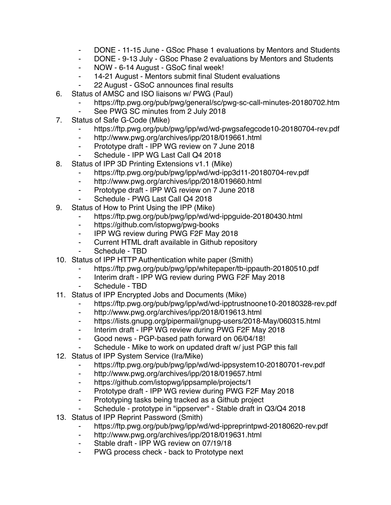- ⁃ DONE 11-15 June GSoc Phase 1 evaluations by Mentors and Students
- ⁃ DONE 9-13 July GSoc Phase 2 evaluations by Mentors and Students
- ⁃ NOW 6-14 August GSoC final week!
- ⁃ 14-21 August Mentors submit final Student evaluations
- ⁃ 22 August GSoC announces final results
- 6. Status of AMSC and ISO liaisons w/ PWG (Paul)
	- https://ftp.pwg.org/pub/pwg/general/sc/pwg-sc-call-minutes-20180702.htm
		- ⁃ See PWG SC minutes from 2 July 2018
- 7. Status of Safe G-Code (Mike)
	- https://ftp.pwg.org/pub/pwg/ipp/wd/wd-pwgsafegcode10-20180704-rev.pdf
	- ⁃ http://www.pwg.org/archives/ipp/2018/019661.html
	- ⁃ Prototype draft IPP WG review on 7 June 2018
	- Schedule IPP WG Last Call Q4 2018
- 8. Status of IPP 3D Printing Extensions v1.1 (Mike)
	- ⁃ https://ftp.pwg.org/pub/pwg/ipp/wd/wd-ipp3d11-20180704-rev.pdf
	- ⁃ http://www.pwg.org/archives/ipp/2018/019660.html
	- ⁃ Prototype draft IPP WG review on 7 June 2018
	- Schedule PWG Last Call Q4 2018
- 9. Status of How to Print Using the IPP (Mike)
	- ⁃ https://ftp.pwg.org/pub/pwg/ipp/wd/wd-ippguide-20180430.html
	- ⁃ https://github.com/istopwg/pwg-books
	- ⁃ IPP WG review during PWG F2F May 2018
	- Current HTML draft available in Github repository
	- Schedule TBD
- 10. Status of IPP HTTP Authentication white paper (Smith)
	- https://ftp.pwg.org/pub/pwg/ipp/whitepaper/tb-ippauth-20180510.pdf
	- ⁃ Interim draft IPP WG review during PWG F2F May 2018
	- Schedule TBD
- 11. Status of IPP Encrypted Jobs and Documents (Mike)
	- https://ftp.pwg.org/pub/pwg/ipp/wd/wd-ipptrustnoone10-20180328-rev.pdf
	- ⁃ http://www.pwg.org/archives/ipp/2018/019613.html
	- ⁃ https://lists.gnupg.org/pipermail/gnupg-users/2018-May/060315.html
	- Interim draft IPP WG review during PWG F2F May 2018
	- ⁃ Good news PGP-based path forward on 06/04/18!
	- Schedule Mike to work on updated draft w/ just PGP this fall
- 12. Status of IPP System Service (Ira/Mike)
	- ⁃ https://ftp.pwg.org/pub/pwg/ipp/wd/wd-ippsystem10-20180701-rev.pdf
	- ⁃ http://www.pwg.org/archives/ipp/2018/019657.html
	- ⁃ https://github.com/istopwg/ippsample/projects/1
	- ⁃ Prototype draft IPP WG review during PWG F2F May 2018
	- ⁃ Prototyping tasks being tracked as a Github project
	- ⁃ Schedule prototype in "ippserver" Stable draft in Q3/Q4 2018
- 13. Status of IPP Reprint Password (Smith)
	- https://ftp.pwg.org/pub/pwg/ipp/wd/wd-ippreprintpwd-20180620-rev.pdf
	- ⁃ http://www.pwg.org/archives/ipp/2018/019631.html
	- Stable draft IPP WG review on 07/19/18
	- ⁃ PWG process check back to Prototype next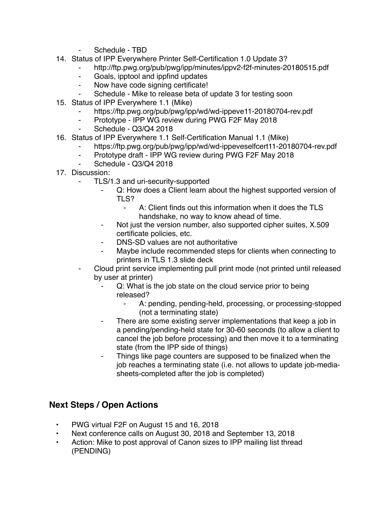- Schedule TBD
- 14. Status of IPP Everywhere Printer Self-Certification 1.0 Update 3?
	- ⁃ http://ftp.pwg.org/pub/pwg/ipp/minutes/ippv2-f2f-minutes-20180515.pdf
	- ⁃ Goals, ipptool and ippfind updates
	- ⁃ Now have code signing certificate!
	- Schedule Mike to release beta of update 3 for testing soon
- 15. Status of IPP Everywhere 1.1 (Mike)
	- https://ftp.pwg.org/pub/pwg/ipp/wd/wd-ippeve11-20180704-rev.pdf
	- Prototype IPP WG review during PWG F2F May 2018
	- Schedule Q3/Q4 2018
- 16. Status of IPP Everywhere 1.1 Self-Certification Manual 1.1 (Mike)
	- https://ftp.pwg.org/pub/pwg/ipp/wd/wd-ippeveselfcert11-20180704-rev.pdf
	- Prototype draft IPP WG review during PWG F2F May 2018
	- Schedule Q3/Q4 2018
- 17. Discussion:
	- TLS/1.3 and uri-security-supported
		- ⁃ Q: How does a Client learn about the highest supported version of TLS?
			- ⁃ A: Client finds out this information when it does the TLS handshake, no way to know ahead of time.
		- Not just the version number, also supported cipher suites, X.509 certificate policies, etc.
		- DNS-SD values are not authoritative
		- ⁃ Maybe include recommended steps for clients when connecting to printers in TLS 1.3 slide deck
	- ⁃ Cloud print service implementing pull print mode (not printed until released by user at printer)
		- Q: What is the job state on the cloud service prior to being released?
			- A: pending, pending-held, processing, or processing-stopped (not a terminating state)
		- ⁃ There are some existing server implementations that keep a job in a pending/pending-held state for 30-60 seconds (to allow a client to cancel the job before processing) and then move it to a terminating state (from the IPP side of things)
		- Things like page counters are supposed to be finalized when the job reaches a terminating state (i.e. not allows to update job-mediasheets-completed after the job is completed)

## **Next Steps / Open Actions**

- PWG virtual F2F on August 15 and 16, 2018
- Next conference calls on August 30, 2018 and September 13, 2018
- Action: Mike to post approval of Canon sizes to IPP mailing list thread (PENDING)